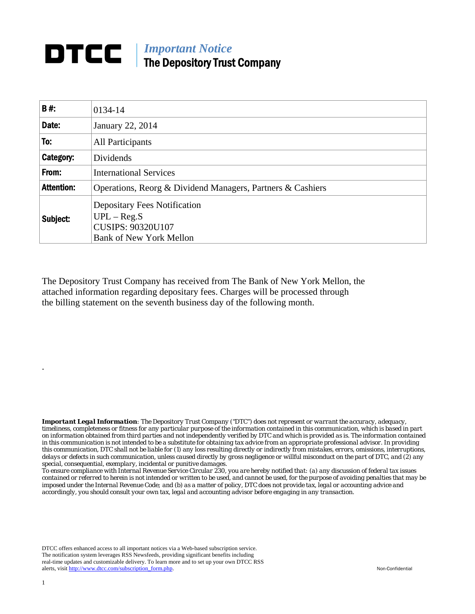## **DTCC** | *Important Notice* The Depository Trust Company

| B#:               | 0134-14                                                                                                            |
|-------------------|--------------------------------------------------------------------------------------------------------------------|
| Date:             | January 22, 2014                                                                                                   |
| To:               | All Participants                                                                                                   |
| Category:         | Dividends                                                                                                          |
| From:             | <b>International Services</b>                                                                                      |
| <b>Attention:</b> | Operations, Reorg & Dividend Managers, Partners & Cashiers                                                         |
| Subject:          | <b>Depositary Fees Notification</b><br>$UPL - Reg.S$<br><b>CUSIPS: 90320U107</b><br><b>Bank of New York Mellon</b> |

The Depository Trust Company has received from The Bank of New York Mellon, the attached information regarding depositary fees. Charges will be processed through the billing statement on the seventh business day of the following month.

*Important Legal Information: The Depository Trust Company ("DTC") does not represent or warrant the accuracy, adequacy, timeliness, completeness or fitness for any particular purpose of the information contained in this communication, which is based in part on information obtained from third parties and not independently verified by DTC and which is provided as is. The information contained in this communication is not intended to be a substitute for obtaining tax advice from an appropriate professional advisor. In providing this communication, DTC shall not be liable for (1) any loss resulting directly or indirectly from mistakes, errors, omissions, interruptions, delays or defects in such communication, unless caused directly by gross negligence or willful misconduct on the part of DTC, and (2) any special, consequential, exemplary, incidental or punitive damages.* 

*To ensure compliance with Internal Revenue Service Circular 230, you are hereby notified that: (a) any discussion of federal tax issues contained or referred to herein is not intended or written to be used, and cannot be used, for the purpose of avoiding penalties that may be imposed under the Internal Revenue Code; and (b) as a matter of policy, DTC does not provide tax, legal or accounting advice and accordingly, you should consult your own tax, legal and accounting advisor before engaging in any transaction.*

DTCC offers enhanced access to all important notices via a Web-based subscription service. The notification system leverages RSS Newsfeeds, providing significant benefits including real-time updates and customizable delivery. To learn more and to set up your own DTCC RSS alerts, visit http://www.dtcc.com/subscription\_form.php. Non-Confidential

.